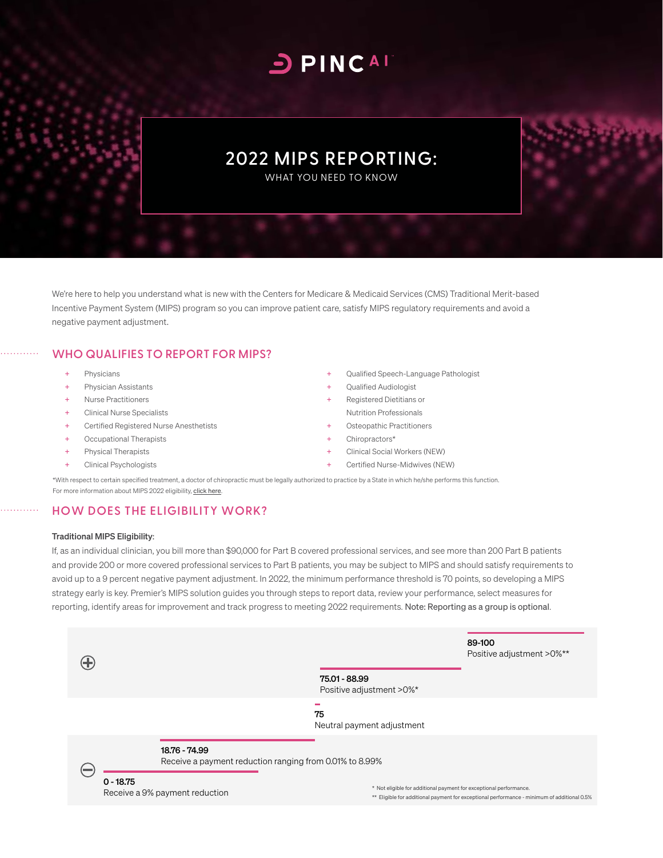# **DPINCAL**

## **2022 MIPS REPORTING:**

WHAT YOU NEED TO KNOW

We're here to help you understand what is new with the Centers for Medicare & Medicaid Services (CMS) Traditional Merit-based Incentive Payment System (MIPS) program so you can improve patient care, satisfy MIPS regulatory requirements and avoid a negative payment adjustment.

#### **WHO QUALIFIES TO REPORT FOR MIPS?**

- + Physicians
- Physician Assistants
- **Nurse Practitioners**
- + Clinical Nurse Specialists
- Certified Registered Nurse Anesthetists
- + Occupational Therapists
- Physical Therapists
- + Clinical Psychologists
- Qualified Speech-Language Pathologist
- Qualified Audiologist
- Registered Dietitians or
- Nutrition Professionals Osteopathic Practitioners
- Chiropractors\*
- Clinical Social Workers (NEW)
- Certified Nurse-Midwives (NEW)

\*With respect to certain specified treatment, a doctor of chiropractic must be legally authorized to practice by a State in which he/she performs this function. For more information about MIPS 2022 eligibility, c[lick here](https://qpp.cms.gov/mips/how-eligibility-is-determined?py=2022).

### **HOW DOES THE ELIGIBILITY WORK?**

#### Traditional MIPS Eligibility:

If, as an individual clinician, you bill more than \$90,000 for Part B covered professional services, and see more than 200 Part B patients and provide 200 or more covered professional services to Part B patients, you may be subject to MIPS and should satisfy requirements to avoid up to a 9 percent negative payment adjustment. In 2022, the minimum performance threshold is 70 points, so developing a MIPS strategy early is key. Premier's MIPS solution guides you through steps to report data, review your performance, select measures for reporting, identify areas for improvement and track progress to meeting 2022 requirements. Note: Reporting as a group is optional.

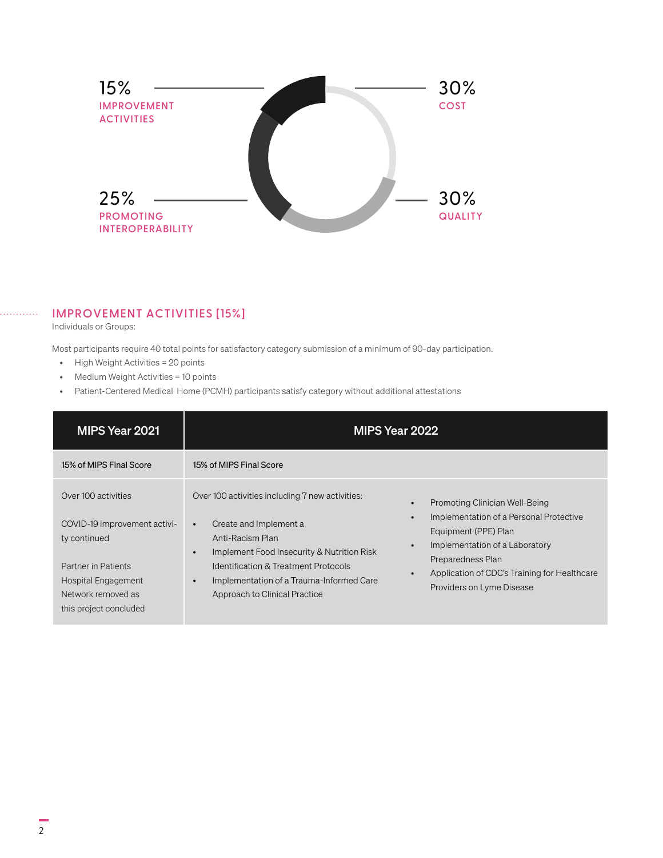

#### **IMPROVEMENT ACTIVITIES [15%]**

Individuals or Groups:

Most participants require 40 total points for satisfactory category submission of a minimum of 90-day participation.

- High Weight Activities = 20 points
- Medium Weight Activities = 10 points
- Patient-Centered Medical Home (PCMH) participants satisfy category without additional attestations

| MIPS Year 2021                                                                                                                                                    |                                                                                                                                                                                                                                                                                                                    | MIPS Year 2022                                                                                                                                                                                                                                                                            |
|-------------------------------------------------------------------------------------------------------------------------------------------------------------------|--------------------------------------------------------------------------------------------------------------------------------------------------------------------------------------------------------------------------------------------------------------------------------------------------------------------|-------------------------------------------------------------------------------------------------------------------------------------------------------------------------------------------------------------------------------------------------------------------------------------------|
| 15% of MIPS Final Score                                                                                                                                           | 15% of MIPS Final Score                                                                                                                                                                                                                                                                                            |                                                                                                                                                                                                                                                                                           |
| Over 100 activities<br>COVID-19 improvement activi-<br>ty continued<br>Partner in Patients<br>Hospital Engagement<br>Network removed as<br>this project concluded | Over 100 activities including 7 new activities:<br>Create and Implement a<br>$\bullet$<br>Anti-Racism Plan<br>Implement Food Insecurity & Nutrition Risk<br>$\bullet$<br><b>Identification &amp; Treatment Protocols</b><br>Implementation of a Trauma-Informed Care<br>$\bullet$<br>Approach to Clinical Practice | Promoting Clinician Well-Being<br>$\bullet$<br>Implementation of a Personal Protective<br>$\bullet$<br>Equipment (PPE) Plan<br>Implementation of a Laboratory<br>$\bullet$<br>Preparedness Plan<br>Application of CDC's Training for Healthcare<br>$\bullet$<br>Providers on Lyme Disease |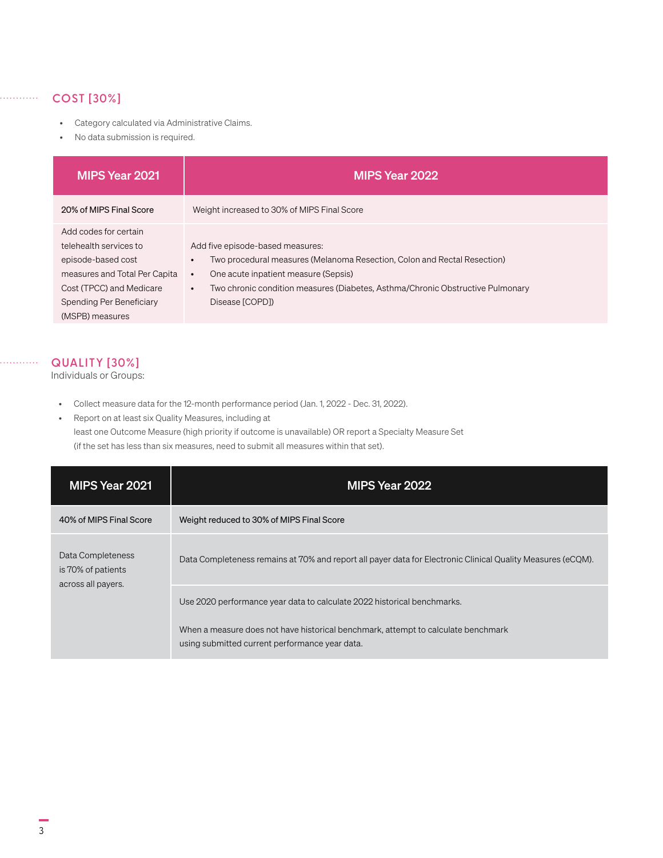## **COST [30%]**

. . . . . . . . . . .

. . . . . . . . . .

- Category calculated via Administrative Claims.
- No data submission is required.

| MIPS Year 2021                | MIPS Year 2022                                                                              |
|-------------------------------|---------------------------------------------------------------------------------------------|
| 20% of MIPS Final Score       | Weight increased to 30% of MIPS Final Score                                                 |
| Add codes for certain         |                                                                                             |
| telehealth services to        | Add five episode-based measures:                                                            |
| episode-based cost            | Two procedural measures (Melanoma Resection, Colon and Rectal Resection)<br>$\bullet$       |
| measures and Total Per Capita | One acute inpatient measure (Sepsis)<br>$\bullet$                                           |
| Cost (TPCC) and Medicare      | Two chronic condition measures (Diabetes, Asthma/Chronic Obstructive Pulmonary<br>$\bullet$ |
| Spending Per Beneficiary      | Disease [COPD])                                                                             |
| (MSPB) measures               |                                                                                             |

#### **QUALITY [30%]**

Individuals or Groups:

- Collect measure data for the 12-month performance period (Jan. 1, 2022 Dec. 31, 2022).
- Report on at least six Quality Measures, including at least one Outcome Measure (high priority if outcome is unavailable) OR report a Specialty Measure Set (if the set has less than six measures, need to submit all measures within that set).

| MIPS Year 2021                                                | MIPS Year 2022                                                                                                                      |
|---------------------------------------------------------------|-------------------------------------------------------------------------------------------------------------------------------------|
| 40% of MIPS Final Score                                       | Weight reduced to 30% of MIPS Final Score                                                                                           |
| Data Completeness<br>is 70% of patients<br>across all payers. | Data Completeness remains at 70% and report all payer data for Electronic Clinical Quality Measures (eCQM).                         |
|                                                               | Use 2020 performance year data to calculate 2022 historical benchmarks.                                                             |
|                                                               | When a measure does not have historical benchmark, attempt to calculate benchmark<br>using submitted current performance year data. |